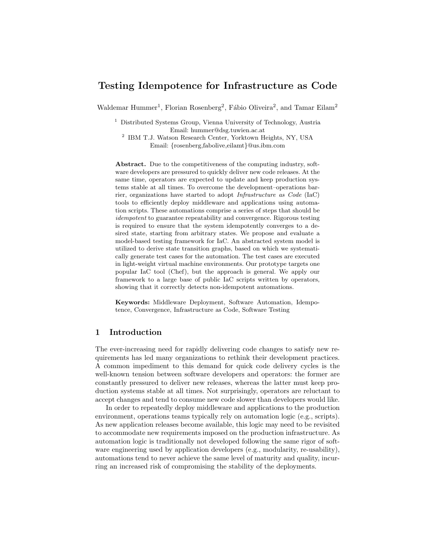# Testing Idempotence for Infrastructure as Code

Waldemar Hummer<sup>1</sup>, Florian Rosenberg<sup>2</sup>, Fábio Oliveira<sup>2</sup>, and Tamar Eilam<sup>2</sup>

<sup>1</sup> Distributed Systems Group, Vienna University of Technology, Austria Email: hummer@dsg.tuwien.ac.at

2 IBM T.J. Watson Research Center, Yorktown Heights, NY, USA Email: {rosenberg,fabolive,eilamt}@us.ibm.com

Abstract. Due to the competitiveness of the computing industry, software developers are pressured to quickly deliver new code releases. At the same time, operators are expected to update and keep production systems stable at all times. To overcome the development–operations barrier, organizations have started to adopt Infrastructure as Code (IaC) tools to efficiently deploy middleware and applications using automation scripts. These automations comprise a series of steps that should be idempotent to guarantee repeatability and convergence. Rigorous testing is required to ensure that the system idempotently converges to a desired state, starting from arbitrary states. We propose and evaluate a model-based testing framework for IaC. An abstracted system model is utilized to derive state transition graphs, based on which we systematically generate test cases for the automation. The test cases are executed in light-weight virtual machine environments. Our prototype targets one popular IaC tool (Chef), but the approach is general. We apply our framework to a large base of public IaC scripts written by operators, showing that it correctly detects non-idempotent automations.

Keywords: Middleware Deployment, Software Automation, Idempotence, Convergence, Infrastructure as Code, Software Testing

## 1 Introduction

The ever-increasing need for rapidly delivering code changes to satisfy new requirements has led many organizations to rethink their development practices. A common impediment to this demand for quick code delivery cycles is the well-known tension between software developers and operators: the former are constantly pressured to deliver new releases, whereas the latter must keep production systems stable at all times. Not surprisingly, operators are reluctant to accept changes and tend to consume new code slower than developers would like.

In order to repeatedly deploy middleware and applications to the production environment, operations teams typically rely on automation logic (e.g., scripts). As new application releases become available, this logic may need to be revisited to accommodate new requirements imposed on the production infrastructure. As automation logic is traditionally not developed following the same rigor of software engineering used by application developers (e.g., modularity, re-usability), automations tend to never achieve the same level of maturity and quality, incurring an increased risk of compromising the stability of the deployments.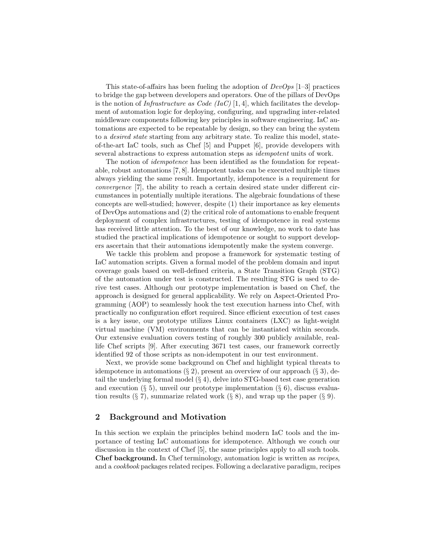This state-of-affairs has been fueling the adoption of  $DevOps$  [1–3] practices to bridge the gap between developers and operators. One of the pillars of DevOps is the notion of *Infrastructure as Code (IaC)* [1, 4], which facilitates the development of automation logic for deploying, configuring, and upgrading inter-related middleware components following key principles in software engineering. IaC automations are expected to be repeatable by design, so they can bring the system to a desired state starting from any arbitrary state. To realize this model, stateof-the-art IaC tools, such as Chef [5] and Puppet [6], provide developers with several abstractions to express automation steps as idempotent units of work.

The notion of *idempotence* has been identified as the foundation for repeatable, robust automations [7, 8]. Idempotent tasks can be executed multiple times always yielding the same result. Importantly, idempotence is a requirement for convergence [7], the ability to reach a certain desired state under different circumstances in potentially multiple iterations. The algebraic foundations of these concepts are well-studied; however, despite (1) their importance as key elements of DevOps automations and (2) the critical role of automations to enable frequent deployment of complex infrastructures, testing of idempotence in real systems has received little attention. To the best of our knowledge, no work to date has studied the practical implications of idempotence or sought to support developers ascertain that their automations idempotently make the system converge.

We tackle this problem and propose a framework for systematic testing of IaC automation scripts. Given a formal model of the problem domain and input coverage goals based on well-defined criteria, a State Transition Graph (STG) of the automation under test is constructed. The resulting STG is used to derive test cases. Although our prototype implementation is based on Chef, the approach is designed for general applicability. We rely on Aspect-Oriented Programming (AOP) to seamlessly hook the test execution harness into Chef, with practically no configuration effort required. Since efficient execution of test cases is a key issue, our prototype utilizes Linux containers (LXC) as light-weight virtual machine (VM) environments that can be instantiated within seconds. Our extensive evaluation covers testing of roughly 300 publicly available, reallife Chef scripts [9]. After executing 3671 test cases, our framework correctly identified 92 of those scripts as non-idempotent in our test environment.

Next, we provide some background on Chef and highlight typical threats to idempotence in automations ( $\S 2$ ), present an overview of our approach ( $\S 3$ ), detail the underlying formal model  $(\S 4)$ , delve into STG-based test case generation and execution (§ 5), unveil our prototype implementation (§ 6), discuss evaluation results  $(\S 7)$ , summarize related work  $(\S 8)$ , and wrap up the paper  $(\S 9)$ .

### 2 Background and Motivation

In this section we explain the principles behind modern IaC tools and the importance of testing IaC automations for idempotence. Although we couch our discussion in the context of Chef [5], the same principles apply to all such tools. Chef background. In Chef terminology, automation logic is written as recipes, and a cookbook packages related recipes. Following a declarative paradigm, recipes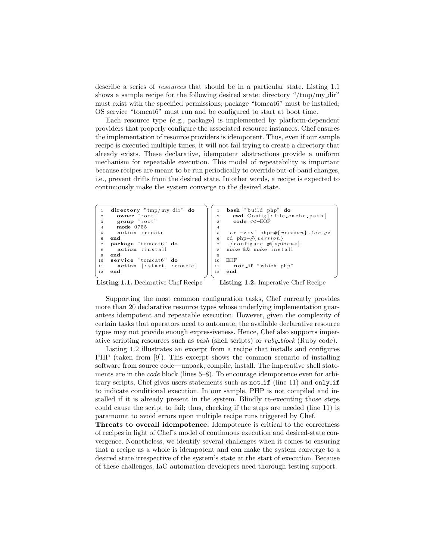describe a series of *resources* that should be in a particular state. Listing 1.1 shows a sample recipe for the following desired state: directory "/tmp/my dir" must exist with the specified permissions; package "tomcat6" must be installed; OS service "tomcat6" must run and be configured to start at boot time.

Each resource type (e.g., package) is implemented by platform-dependent providers that properly configure the associated resource instances. Chef ensures the implementation of resource providers is idempotent. Thus, even if our sample recipe is executed multiple times, it will not fail trying to create a directory that already exists. These declarative, idempotent abstractions provide a uniform mechanism for repeatable execution. This model of repeatability is important because recipes are meant to be run periodically to override out-of-band changes, i.e., prevent drifts from the desired state. In other words, a recipe is expected to continuously make the system converge to the desired state.

```
\boxed{\begin{array}{ccc} 1 & \textbf{directory} & \text{``tmp/my-dir''} & \textbf{do} \end{array}}2 owner "root"<br>3 group "root"
 4 mode 0755
 5 action : create
 6 end
 7 package " tomcat6 " do
 8 action : install
 9 end
10 service "tomcat6" do
11 action [: start, : enable]
12 end
                                                \boxed{\begin{array}{ccc} 1 & \textbf{bash} & \text{"build php" do} \end{array}}2 cwd Config [: file_cache_path]
                                                 3 code <<−EOF
                                                 4
                                                 5 tar -zxx f php-\# \{version\}. tar. g z
                                                 6 cd php–#{version}<br>7 ./configure #{opt
                                                      . / \text{configure} \# \text{ (options)}8 make && make install
                                                 9
                                                10 EOF
                                                11 not_if "which php"
                                                12 end
```
Listing 1.1. Declarative Chef Recipe

Listing 1.2. Imperative Chef Recipe

Supporting the most common configuration tasks, Chef currently provides more than 20 declarative resource types whose underlying implementation guarantees idempotent and repeatable execution. However, given the complexity of certain tasks that operators need to automate, the available declarative resource types may not provide enough expressiveness. Hence, Chef also supports imperative scripting resources such as bash (shell scripts) or ruby block (Ruby code).

Listing 1.2 illustrates an excerpt from a recipe that installs and configures PHP (taken from [9]). This excerpt shows the common scenario of installing software from source code—unpack, compile, install. The imperative shell statements are in the code block (lines 5–8). To encourage idempotence even for arbitrary scripts, Chef gives users statements such as  $not$ **if** (line 11) and  $only$ **if** to indicate conditional execution. In our sample, PHP is not compiled and installed if it is already present in the system. Blindly re-executing those steps could cause the script to fail; thus, checking if the steps are needed (line 11) is paramount to avoid errors upon multiple recipe runs triggered by Chef.

Threats to overall idempotence. Idempotence is critical to the correctness of recipes in light of Chef's model of continuous execution and desired-state convergence. Nonetheless, we identify several challenges when it comes to ensuring that a recipe as a whole is idempotent and can make the system converge to a desired state irrespective of the system's state at the start of execution. Because of these challenges, IaC automation developers need thorough testing support.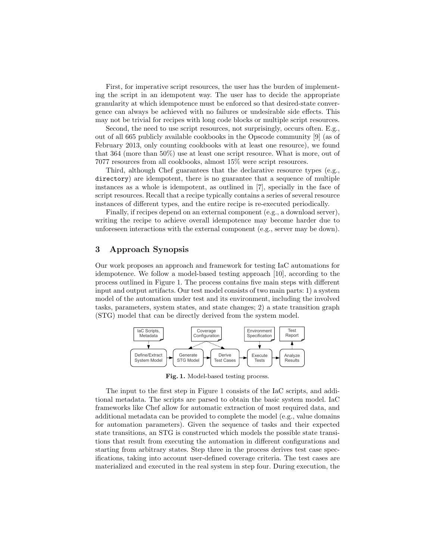First, for imperative script resources, the user has the burden of implementing the script in an idempotent way. The user has to decide the appropriate granularity at which idempotence must be enforced so that desired-state convergence can always be achieved with no failures or undesirable side effects. This may not be trivial for recipes with long code blocks or multiple script resources.

Second, the need to use script resources, not surprisingly, occurs often. E.g., out of all 665 publicly available cookbooks in the Opscode community [9] (as of February 2013, only counting cookbooks with at least one resource), we found that 364 (more than 50%) use at least one script resource. What is more, out of 7077 resources from all cookbooks, almost 15% were script resources.

Third, although Chef guarantees that the declarative resource types (e.g., directory) are idempotent, there is no guarantee that a sequence of multiple instances as a whole is idempotent, as outlined in [7], specially in the face of script resources. Recall that a recipe typically contains a series of several resource instances of different types, and the entire recipe is re-executed periodically.

Finally, if recipes depend on an external component (e.g., a download server), writing the recipe to achieve overall idempotence may become harder due to unforeseen interactions with the external component (e.g., server may be down).

### 3 Approach Synopsis

Our work proposes an approach and framework for testing IaC automations for idempotence. We follow a model-based testing approach [10], according to the process outlined in Figure 1. The process contains five main steps with different input and output artifacts. Our test model consists of two main parts: 1) a system model of the automation under test and its environment, including the involved tasks, parameters, system states, and state changes; 2) a state transition graph (STG) model that can be directly derived from the system model.



Fig. 1. Model-based testing process.

The input to the first step in Figure 1 consists of the IaC scripts, and additional metadata. The scripts are parsed to obtain the basic system model. IaC frameworks like Chef allow for automatic extraction of most required data, and additional metadata can be provided to complete the model (e.g., value domains for automation parameters). Given the sequence of tasks and their expected state transitions, an STG is constructed which models the possible state transitions that result from executing the automation in different configurations and starting from arbitrary states. Step three in the process derives test case specifications, taking into account user-defined coverage criteria. The test cases are materialized and executed in the real system in step four. During execution, the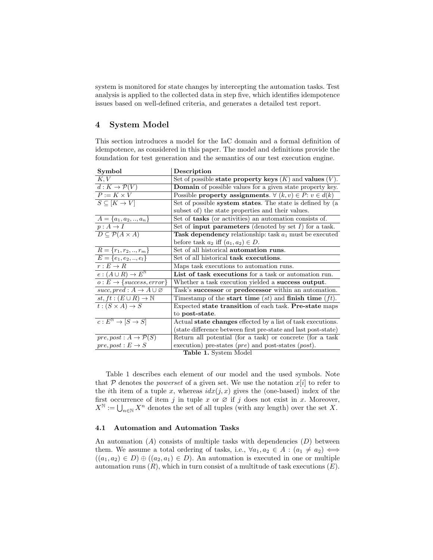system is monitored for state changes by intercepting the automation tasks. Test analysis is applied to the collected data in step five, which identifies idempotence issues based on well-defined criteria, and generates a detailed test report.

## 4 System Model

This section introduces a model for the IaC domain and a formal definition of idempotence, as considered in this paper. The model and definitions provide the foundation for test generation and the semantics of our test execution engine.

| Description                                                                           |
|---------------------------------------------------------------------------------------|
| Set of possible state property keys $(K)$ and values $(V)$ .                          |
| <b>Domain</b> of possible values for a given state property key.                      |
| Possible property assignments. $\forall (k, v) \in P: v \in d(k)$                     |
| Set of possible <b>system states</b> . The state is defined by (a                     |
| subset of) the state properties and their values.                                     |
| Set of tasks (or activities) an automation consists of.                               |
| Set of <b>input parameters</b> (denoted by set $I$ ) for a task.                      |
| Task dependency relationship: task $a_1$ must be executed                             |
| before task $a_2$ iff $(a_1, a_2) \in D$ .                                            |
| Set of all historical <b>automation runs</b> .                                        |
| Set of all historical task executions.                                                |
| Maps task executions to automation runs.                                              |
| List of task executions for a task or automation run.                                 |
| Whether a task execution yielded a <b>success output</b> .                            |
| Task's successor or predecessor within an automation.                                 |
| Timestamp of the start time $(st)$ and finish time $(ft)$ .                           |
| Expected state transition of each task. Pre-state maps                                |
| to post-state.                                                                        |
| Actual state changes effected by a list of task executions.                           |
| (state difference between first pre-state and last post-state)                        |
| Return all potential (for a task) or concrete (for a task                             |
| execution) pre-states $(pre)$ and post-states $(post)$ .<br>$\sim$ $\sim$<br>$\cdots$ |
|                                                                                       |

Table 1. System Model

Table 1 describes each element of our model and the used symbols. Note that P denotes the *powerset* of a given set. We use the notation  $x[i]$  to refer to the *i*th item of a tuple x, whereas  $idx(j, x)$  gives the (one-based) index of the first occurrence of item j in tuple x or  $\varnothing$  if j does not exist in x. Moreover,  $X^{\mathbb{N}} := \bigcup_{n\in\mathbb{N}} X^n$  denotes the set of all tuples (with any length) over the set X.

### 4.1 Automation and Automation Tasks

An automation  $(A)$  consists of multiple tasks with dependencies  $(D)$  between them. We assume a total ordering of tasks, i.e.,  $\forall a_1, a_2 \in A : (a_1 \neq a_2) \iff$  $((a_1, a_2) \in D) \oplus ((a_2, a_1) \in D)$ . An automation is executed in one or multiple automation runs  $(R)$ , which in turn consist of a multitude of task executions  $(E)$ .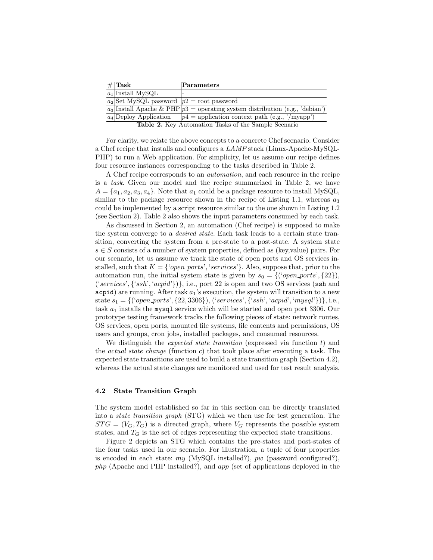| $\#$ Task                                       | $\rm {Parameters}$                                                               |
|-------------------------------------------------|----------------------------------------------------------------------------------|
| $a_1$ Install MySQL                             |                                                                                  |
| $a_2$ Set MySQL password $ p2 $ = root password |                                                                                  |
|                                                 | $a_3$ Install Apache & PHP $p3$ = operating system distribution (e.g., 'debian') |
| $a_4$ Deploy Application                        | $ p4 $ = application context path (e.g., '/myapp')                               |
|                                                 | $\mathbf{m}$ ilo iz Arrithmi Calcia i Co                                         |

Table 2. Key Automation Tasks of the Sample Scenario

For clarity, we relate the above concepts to a concrete Chef scenario. Consider a Chef recipe that installs and configures a LAMP stack (Linux-Apache-MySQL-PHP) to run a Web application. For simplicity, let us assume our recipe defines four resource instances corresponding to the tasks described in Table 2.

A Chef recipe corresponds to an automation, and each resource in the recipe is a task. Given our model and the recipe summarized in Table 2, we have  $A = \{a_1, a_2, a_3, a_4\}$ . Note that  $a_1$  could be a package resource to install MySQL, similar to the package resource shown in the recipe of Listing 1.1, whereas  $a_3$ could be implemented by a script resource similar to the one shown in Listing 1.2 (see Section 2). Table 2 also shows the input parameters consumed by each task.

As discussed in Section 2, an automation (Chef recipe) is supposed to make the system converge to a *desired state*. Each task leads to a certain state transition, converting the system from a pre-state to a post-state. A system state  $s \in S$  consists of a number of system properties, defined as (key, value) pairs. For our scenario, let us assume we track the state of open ports and OS services installed, such that  $K = \{^{\prime}open\}$  ports', 'services' }. Also, suppose that, prior to the automation run, the initial system state is given by  $s_0 = \{('open\_ports', \{22\}),\}$ ('services',  $\{ 'ssh', 'acpid' \}$ ), i.e., port 22 is open and two OS services (ssh and acpid) are running. After task  $a_1$ 's execution, the system will transition to a new state  $s_1 = \{('open\_ports', \{22, 3306\}), ('services', {'ssh', 'acpid', 'mysql'}\)}, i.e.,$ task  $a_1$  installs the mysql service which will be started and open port 3306. Our prototype testing framework tracks the following pieces of state: network routes, OS services, open ports, mounted file systems, file contents and permissions, OS users and groups, cron jobs, installed packages, and consumed resources.

We distinguish the *expected state transition* (expressed via function  $t$ ) and the *actual state change* (function c) that took place after executing a task. The expected state transitions are used to build a state transition graph (Section 4.2), whereas the actual state changes are monitored and used for test result analysis.

#### 4.2 State Transition Graph

The system model established so far in this section can be directly translated into a state transition graph (STG) which we then use for test generation. The  $STG = (V_G, T_G)$  is a directed graph, where  $V_G$  represents the possible system states, and  $T<sub>G</sub>$  is the set of edges representing the expected state transitions.

Figure 2 depicts an STG which contains the pre-states and post-states of the four tasks used in our scenario. For illustration, a tuple of four properties is encoded in each state:  $my$  (MySQL installed?),  $pw$  (password configured?), php (Apache and PHP installed?), and app (set of applications deployed in the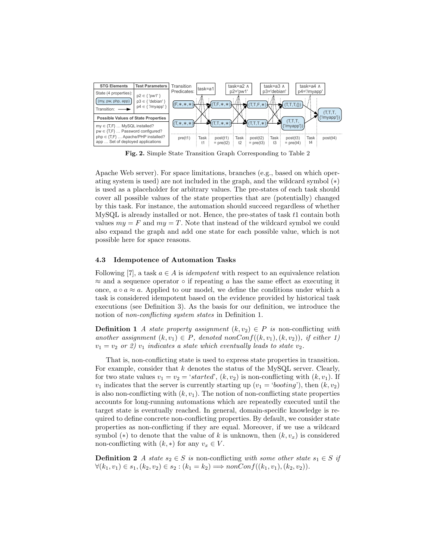

Fig. 2. Simple State Transition Graph Corresponding to Table 2

Apache Web server). For space limitations, branches (e.g., based on which operating system is used) are not included in the graph, and the wildcard symbol (∗) is used as a placeholder for arbitrary values. The pre-states of each task should cover all possible values of the state properties that are (potentially) changed by this task. For instance, the automation should succeed regardless of whether MySQL is already installed or not. Hence, the pre-states of task t1 contain both values  $my = F$  and  $my = T$ . Note that instead of the wildcard symbol we could also expand the graph and add one state for each possible value, which is not possible here for space reasons.

#### 4.3 Idempotence of Automation Tasks

Following [7], a task  $a \in A$  is *idempotent* with respect to an equivalence relation  $\approx$  and a sequence operator  $\circ$  if repeating a has the same effect as executing it once,  $a \circ a \approx a$ . Applied to our model, we define the conditions under which a task is considered idempotent based on the evidence provided by historical task executions (see Definition 3). As the basis for our definition, we introduce the notion of non-conflicting system states in Definition 1.

**Definition 1** A state property assignment  $(k, v_2) \in P$  is non-conflicting with another assignment  $(k, v_1) \in P$ , denoted non $Conf((k, v_1), (k, v_2))$ , if either 1)  $v_1 = v_2$  or 2)  $v_1$  indicates a state which eventually leads to state  $v_2$ .

That is, non-conflicting state is used to express state properties in transition. For example, consider that  $k$  denotes the status of the MySQL server. Clearly, for two state values  $v_1 = v_2 = 'stacked', (k, v_2)$  is non-conflicting with  $(k, v_1)$ . If  $v_1$  indicates that the server is currently starting up  $(v_1 = 'bootstrap')$ , then  $(k, v_2)$ is also non-conflicting with  $(k, v_1)$ . The notion of non-conflicting state properties accounts for long-running automations which are repeatedly executed until the target state is eventually reached. In general, domain-specific knowledge is required to define concrete non-conflicting properties. By default, we consider state properties as non-conflicting if they are equal. Moreover, if we use a wildcard symbol (\*) to denote that the value of k is unknown, then  $(k, v_x)$  is considered non-conflicting with  $(k, *)$  for any  $v_x \in V$ .

**Definition 2** A state  $s_2 \in S$  is non-conflicting with some other state  $s_1 \in S$  if  $\forall (k_1, v_1) \in s_1, (k_2, v_2) \in s_2 : (k_1 = k_2) \Longrightarrow nonConf((k_1, v_1), (k_2, v_2)).$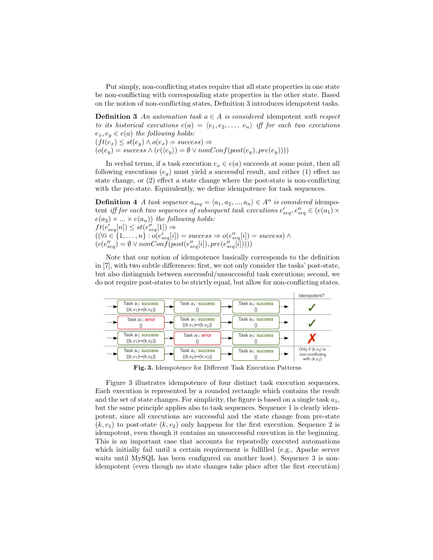Put simply, non-conflicting states require that all state properties in one state be non-conflicting with corresponding state properties in the other state. Based on the notion of non-conflicting states, Definition 3 introduces idempotent tasks.

**Definition 3** An automation task  $a \in A$  is considered idempotent with respect to its historical executions  $e(a) = \langle e_1, e_2, \ldots, e_n \rangle$  iff for each two executions  $e_x, e_y \in e(a)$  the following holds:  $(f t(e_x) \leq st(e_y) \land o(e_x) = success) \Rightarrow$ 

 $(o(e_y) = success \land (c(\langle e_y \rangle) = \emptyset \lor nonConf(post(e_y), pre(e_y))))$ 

In verbal terms, if a task execution  $e_x \in e(a)$  succeeds at some point, then all following executions  $(e_y)$  must yield a successful result, and either (1) effect no state change, or (2) effect a state change where the post-state is non-conflicting with the pre-state. Equivalently, we define idempotence for task sequences.

**Definition 4** A task sequence  $a_{seq} = \langle a_1, a_2, ..., a_n \rangle \in A^n$  is considered idempotent iff for each two sequences of subsequent task executions  $e'_{seq}, e''_{seq} \in (e(a_1) \times$  $e(a_2) \times ... \times e(a_n)$  the following holds:  $ft(e'_{seq}[n]) \leq st(e''_{seq}[1]) \Rightarrow$  $((\forall i \in \{1, ..., n\} : o(e'_{seq}[i]) = success \Rightarrow o(e''_{seq}[i]) = success) \land$  $(c(e''_{seq}) = \emptyset \lor nonConfpost(e''_{seq}[i]), pre(e''_{seq}[i]))))$ 

Note that our notion of idempotence basically corresponds to the definition in [7], with two subtle differences: first, we not only consider the tasks' post-state, but also distinguish between successful/unsuccessful task executions; second, we do not require post-states to be strictly equal, but allow for non-conflicting states.



Fig. 3. Idempotence for Different Task Execution Patterns

Figure 3 illustrates idempotence of four distinct task execution sequences. Each execution is represented by a rounded rectangle which contains the result and the set of state changes. For simplicity, the figure is based on a single task  $a_1$ , but the same principle applies also to task sequences. Sequence 1 is clearly idempotent, since all executions are successful and the state change from pre-state  $(k, v_1)$  to post-state  $(k, v_2)$  only happens for the first execution. Sequence 2 is idempotent, even though it contains an unsuccessful execution in the beginning. This is an important case that accounts for repeatedly executed automations which initially fail until a certain requirement is fulfilled (e.g., Apache server waits until MySQL has been configured on another host). Sequence 3 is nonidempotent (even though no state changes take place after the first execution)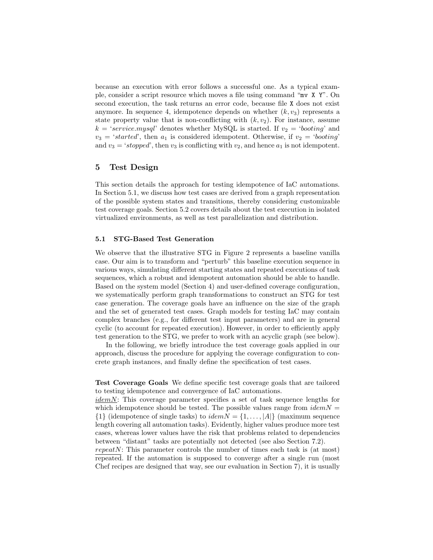because an execution with error follows a successful one. As a typical example, consider a script resource which moves a file using command "mv X Y". On second execution, the task returns an error code, because file X does not exist anymore. In sequence 4, idempotence depends on whether  $(k, v_3)$  represents a state property value that is non-conflicting with  $(k, v_2)$ . For instance, assume  $k = 'service.mysql'$  denotes whether MySQL is started. If  $v_2 = 'bootstrap'$  and  $v_3 = 'started'$ , then  $a_1$  is considered idempotent. Otherwise, if  $v_2 = 'bootstrap'$ and  $v_3 = 'stopped'$ , then  $v_3$  is conflicting with  $v_2$ , and hence  $a_1$  is not idempotent.

### 5 Test Design

This section details the approach for testing idempotence of IaC automations. In Section 5.1, we discuss how test cases are derived from a graph representation of the possible system states and transitions, thereby considering customizable test coverage goals. Section 5.2 covers details about the test execution in isolated virtualized environments, as well as test parallelization and distribution.

#### 5.1 STG-Based Test Generation

We observe that the illustrative STG in Figure 2 represents a baseline vanilla case. Our aim is to transform and "perturb" this baseline execution sequence in various ways, simulating different starting states and repeated executions of task sequences, which a robust and idempotent automation should be able to handle. Based on the system model (Section 4) and user-defined coverage configuration, we systematically perform graph transformations to construct an STG for test case generation. The coverage goals have an influence on the size of the graph and the set of generated test cases. Graph models for testing IaC may contain complex branches (e.g., for different test input parameters) and are in general cyclic (to account for repeated execution). However, in order to efficiently apply test generation to the STG, we prefer to work with an acyclic graph (see below).

In the following, we briefly introduce the test coverage goals applied in our approach, discuss the procedure for applying the coverage configuration to concrete graph instances, and finally define the specification of test cases.

Test Coverage Goals We define specific test coverage goals that are tailored to testing idempotence and convergence of IaC automations.

idemN: This coverage parameter specifies a set of task sequence lengths for which idempotence should be tested. The possible values range from  $idemN =$  ${1}$  (idempotence of single tasks) to  $idemN = {1, ..., |A|}$  (maximum sequence length covering all automation tasks). Evidently, higher values produce more test cases, whereas lower values have the risk that problems related to dependencies between "distant" tasks are potentially not detected (see also Section 7.2).

repeatN: This parameter controls the number of times each task is (at most) repeated. If the automation is supposed to converge after a single run (most Chef recipes are designed that way, see our evaluation in Section 7), it is usually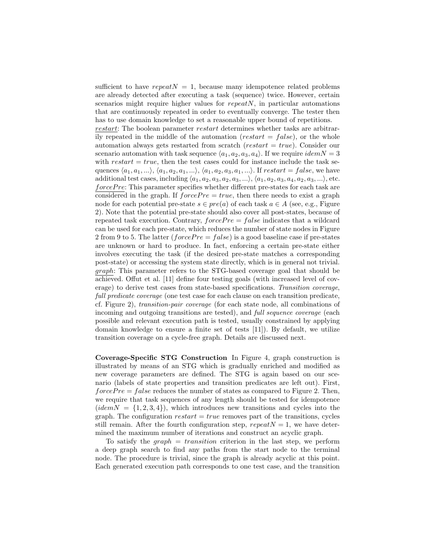sufficient to have  $repeatN = 1$ , because many idempotence related problems are already detected after executing a task (sequence) twice. However, certain scenarios might require higher values for  $repeatN$ , in particular automations that are continuously repeated in order to eventually converge. The tester then has to use domain knowledge to set a reasonable upper bound of repetitions.

restart: The boolean parameter restart determines whether tasks are arbitrarily repeated in the middle of the automation ( $restart = false$ ), or the whole automation always gets restarted from scratch ( $restart = true$ ). Consider our scenario automation with task sequence  $\langle a_1, a_2, a_3, a_4 \rangle$ . If we require  $idemN = 3$ with  $restart = true$ , then the test cases could for instance include the task sequences  $\langle a_1, a_1, ...\rangle, \langle a_1, a_2, a_1, ...\rangle, \langle a_1, a_2, a_3, a_1, ...\rangle$ . If restart = false, we have additional test cases, including  $\langle a_1, a_2, a_3, a_2, a_3, \ldots \rangle$ ,  $\langle a_1, a_2, a_3, a_4, a_2, a_3, \ldots \rangle$ , etc. forcePre: This parameter specifies whether different pre-states for each task are considered in the graph. If  $forcePre = true$ , then there needs to exist a graph node for each potential pre-state  $s \in pre(a)$  of each task  $a \in A$  (see, e.g., Figure 2). Note that the potential pre-state should also cover all post-states, because of repeated task execution. Contrary,  $forcePre = false$  indicates that a wildcard can be used for each pre-state, which reduces the number of state nodes in Figure 2 from 9 to 5. The latter ( $forcePre = false$ ) is a good baseline case if pre-states are unknown or hard to produce. In fact, enforcing a certain pre-state either involves executing the task (if the desired pre-state matches a corresponding post-state) or accessing the system state directly, which is in general not trivial. graph: This parameter refers to the STG-based coverage goal that should be achieved. Offut et al. [11] define four testing goals (with increased level of coverage) to derive test cases from state-based specifications. Transition coverage, full predicate coverage (one test case for each clause on each transition predicate, cf. Figure 2), transition-pair coverage (for each state node, all combinations of incoming and outgoing transitions are tested), and *full sequence coverage* (each possible and relevant execution path is tested, usually constrained by applying domain knowledge to ensure a finite set of tests [11]). By default, we utilize transition coverage on a cycle-free graph. Details are discussed next.

Coverage-Specific STG Construction In Figure 4, graph construction is illustrated by means of an STG which is gradually enriched and modified as new coverage parameters are defined. The STG is again based on our scenario (labels of state properties and transition predicates are left out). First,  $forcePre = false$  reduces the number of states as compared to Figure 2. Then, we require that task sequences of any length should be tested for idempotence  $(idemN = \{1, 2, 3, 4\})$ , which introduces new transitions and cycles into the graph. The configuration  $restart = true$  removes part of the transitions, cycles still remain. After the fourth configuration step,  $repeatN = 1$ , we have determined the maximum number of iterations and construct an acyclic graph.

To satisfy the  $graph = transition$  criterion in the last step, we perform a deep graph search to find any paths from the start node to the terminal node. The procedure is trivial, since the graph is already acyclic at this point. Each generated execution path corresponds to one test case, and the transition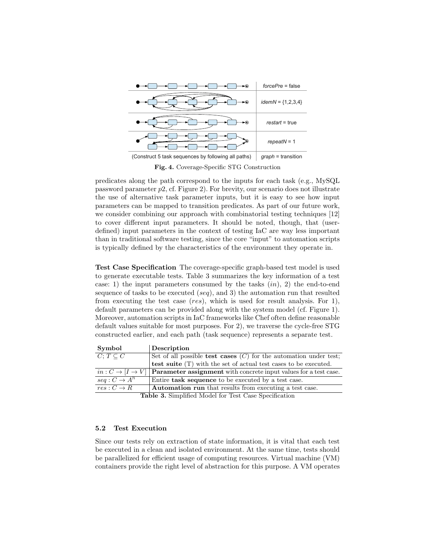

Fig. 4. Coverage-Specific STG Construction

predicates along the path correspond to the inputs for each task (e.g., MySQL password parameter  $p2$ , cf. Figure 2). For brevity, our scenario does not illustrate the use of alternative task parameter inputs, but it is easy to see how input parameters can be mapped to transition predicates. As part of our future work, we consider combining our approach with combinatorial testing techniques [12] to cover different input parameters. It should be noted, though, that (userdefined) input parameters in the context of testing IaC are way less important than in traditional software testing, since the core "input" to automation scripts is typically defined by the characteristics of the environment they operate in.

Test Case Specification The coverage-specific graph-based test model is used to generate executable tests. Table 3 summarizes the key information of a test case: 1) the input parameters consumed by the tasks  $(in), 2)$  the end-to-end sequence of tasks to be executed (seq), and 3) the automation run that resulted from executing the test case (res), which is used for result analysis. For 1), default parameters can be provided along with the system model (cf. Figure 1). Moreover, automation scripts in IaC frameworks like Chef often define reasonable default values suitable for most purposes. For 2), we traverse the cycle-free STG constructed earlier, and each path (task sequence) represents a separate test.

| Symbol                                                       | Description                                                             |  |  |  |
|--------------------------------------------------------------|-------------------------------------------------------------------------|--|--|--|
| $C; T \subseteq C$                                           | Set of all possible test cases $(C)$ for the automation under test;     |  |  |  |
|                                                              | test suite $(T)$ with the set of actual test cases to be executed.      |  |  |  |
| $in: C \rightarrow [I \rightarrow V]$                        | <b>Parameter assignment</b> with concrete input values for a test case. |  |  |  |
| $seq: C \to A^{\mathbb{N}}$                                  | Entire task sequence to be executed by a test case.                     |  |  |  |
| $res: C \rightarrow R$                                       | <b>Automation run</b> that results from executing a test case.          |  |  |  |
| <b>Table 3.</b> Simplified Model for Test Case Specification |                                                                         |  |  |  |

#### 5.2 Test Execution

Since our tests rely on extraction of state information, it is vital that each test be executed in a clean and isolated environment. At the same time, tests should be parallelized for efficient usage of computing resources. Virtual machine (VM) containers provide the right level of abstraction for this purpose. A VM operates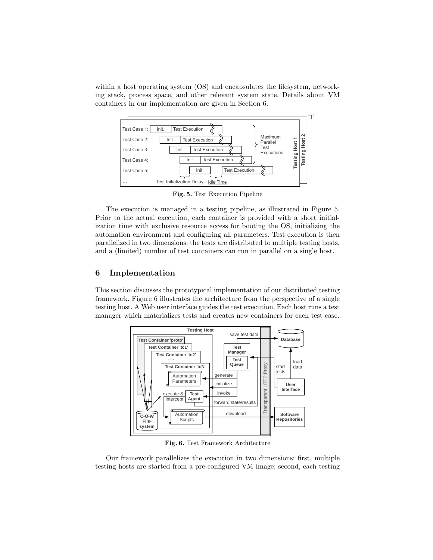within a host operating system (OS) and encapsulates the filesystem, networking stack, process space, and other relevant system state. Details about VM containers in our implementation are given in Section 6.



Fig. 5. Test Execution Pipeline

The execution is managed in a testing pipeline, as illustrated in Figure 5. Prior to the actual execution, each container is provided with a short initialization time with exclusive resource access for booting the OS, initializing the automation environment and configuring all parameters. Test execution is then parallelized in two dimensions: the tests are distributed to multiple testing hosts, and a (limited) number of test containers can run in parallel on a single host.

### 6 Implementation

This section discusses the prototypical implementation of our distributed testing framework. Figure 6 illustrates the architecture from the perspective of a single testing host. A Web user interface guides the test execution. Each host runs a test manager which materializes tests and creates new containers for each test case.



Fig. 6. Test Framework Architecture

Our framework parallelizes the execution in two dimensions: first, multiple testing hosts are started from a pre-configured VM image; second, each testing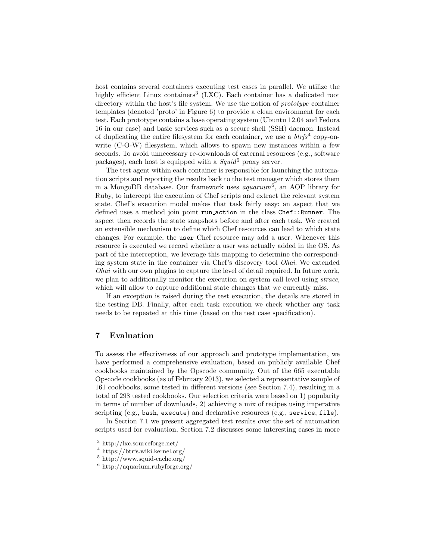host contains several containers executing test cases in parallel. We utilize the highly efficient Linux containers<sup>3</sup> (LXC). Each container has a dedicated root directory within the host's file system. We use the notion of *prototype* container templates (denoted 'proto' in Figure 6) to provide a clean environment for each test. Each prototype contains a base operating system (Ubuntu 12.04 and Fedora 16 in our case) and basic services such as a secure shell (SSH) daemon. Instead of duplicating the entire filesystem for each container, we use a  $\text{btrfs}^4$  copy-onwrite (C-O-W) filesystem, which allows to spawn new instances within a few seconds. To avoid unnecessary re-downloads of external resources (e.g., software packages), each host is equipped with a  $Squid^5$  proxy server.

The test agent within each container is responsible for launching the automation scripts and reporting the results back to the test manager which stores them in a MongoDB database. Our framework uses  $aquarium^6$ , an AOP library for Ruby, to intercept the execution of Chef scripts and extract the relevant system state. Chef's execution model makes that task fairly easy: an aspect that we defined uses a method join point run action in the class Chef::Runner. The aspect then records the state snapshots before and after each task. We created an extensible mechanism to define which Chef resources can lead to which state changes. For example, the user Chef resource may add a user. Whenever this resource is executed we record whether a user was actually added in the OS. As part of the interception, we leverage this mapping to determine the corresponding system state in the container via Chef's discovery tool Ohai. We extended Ohai with our own plugins to capture the level of detail required. In future work, we plan to additionally monitor the execution on system call level using strace, which will allow to capture additional state changes that we currently miss.

If an exception is raised during the test execution, the details are stored in the testing DB. Finally, after each task execution we check whether any task needs to be repeated at this time (based on the test case specification).

## 7 Evaluation

To assess the effectiveness of our approach and prototype implementation, we have performed a comprehensive evaluation, based on publicly available Chef cookbooks maintained by the Opscode community. Out of the 665 executable Opscode cookbooks (as of February 2013), we selected a representative sample of 161 cookbooks, some tested in different versions (see Section 7.4), resulting in a total of 298 tested cookbooks. Our selection criteria were based on 1) popularity in terms of number of downloads, 2) achieving a mix of recipes using imperative scripting (e.g., bash, execute) and declarative resources (e.g., service, file).

In Section 7.1 we present aggregated test results over the set of automation scripts used for evaluation, Section 7.2 discusses some interesting cases in more

<sup>3</sup> http://lxc.sourceforge.net/

<sup>4</sup> https://btrfs.wiki.kernel.org/

<sup>5</sup> http://www.squid-cache.org/

 $6$  http://aquarium.rubyforge.org/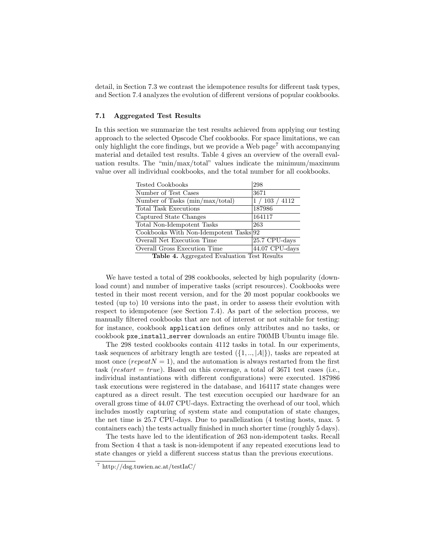detail, in Section 7.3 we contrast the idempotence results for different task types, and Section 7.4 analyzes the evolution of different versions of popular cookbooks.

#### 7.1 Aggregated Test Results

In this section we summarize the test results achieved from applying our testing approach to the selected Opscode Chef cookbooks. For space limitations, we can only highlight the core findings, but we provide a Web page<sup>7</sup> with accompanying material and detailed test results. Table 4 gives an overview of the overall evaluation results. The "min/max/total" values indicate the minimum/maximum value over all individual cookbooks, and the total number for all cookbooks.

| <b>Tested Cookbooks</b>                | 298            |
|----------------------------------------|----------------|
| Number of Test Cases                   | 3671           |
| Number of Tasks (min/max/total)        | 1 / 103 / 4112 |
| <b>Total Task Executions</b>           | 187986         |
| Captured State Changes                 | 164117         |
| Total Non-Idempotent Tasks             | 263            |
| Cookbooks With Non-Idempotent Tasks 92 |                |
| Overall Net Execution Time             | 25.7 CPU-days  |
| Overall Gross Execution Time           | 44.07 CPU-days |
| יו מורח יותרו ואנות                    |                |

Table 4. Aggregated Evaluation Test Results

We have tested a total of 298 cookbooks, selected by high popularity (download count) and number of imperative tasks (script resources). Cookbooks were tested in their most recent version, and for the 20 most popular cookbooks we tested (up to) 10 versions into the past, in order to assess their evolution with respect to idempotence (see Section 7.4). As part of the selection process, we manually filtered cookbooks that are not of interest or not suitable for testing: for instance, cookbook application defines only attributes and no tasks, or cookbook pxe install server downloads an entire 700MB Ubuntu image file.

The 298 tested cookbooks contain 4112 tasks in total. In our experiments, task sequences of arbitrary length are tested  $({1, . . . |A|})$ , tasks are repeated at most once (repeat  $N = 1$ ), and the automation is always restarted from the first task (restart = true). Based on this coverage, a total of 3671 test cases (i.e., individual instantiations with different configurations) were executed. 187986 task executions were registered in the database, and 164117 state changes were captured as a direct result. The test execution occupied our hardware for an overall gross time of 44.07 CPU-days. Extracting the overhead of our tool, which includes mostly capturing of system state and computation of state changes, the net time is 25.7 CPU-days. Due to parallelization (4 testing hosts, max. 5 containers each) the tests actually finished in much shorter time (roughly 5 days).

The tests have led to the identification of 263 non-idempotent tasks. Recall from Section 4 that a task is non-idempotent if any repeated executions lead to state changes or yield a different success status than the previous executions.

<sup>7</sup> http://dsg.tuwien.ac.at/testIaC/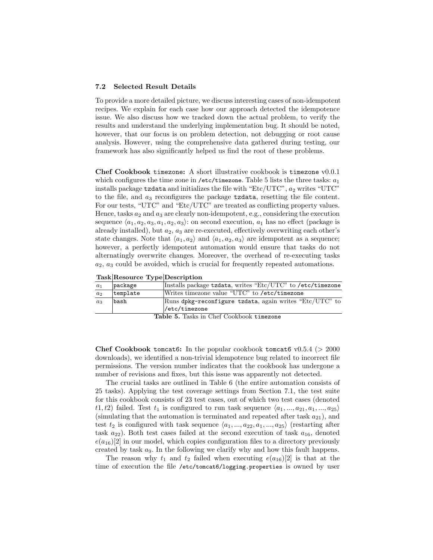#### 7.2 Selected Result Details

To provide a more detailed picture, we discuss interesting cases of non-idempotent recipes. We explain for each case how our approach detected the idempotence issue. We also discuss how we tracked down the actual problem, to verify the results and understand the underlying implementation bug. It should be noted, however, that our focus is on problem detection, not debugging or root cause analysis. However, using the comprehensive data gathered during testing, our framework has also significantly helped us find the root of these problems.

Chef Cookbook timezone: A short illustrative cookbook is timezone v0.0.1 which configures the time zone in /etc/timezone. Table 5 lists the three tasks:  $a_1$ installs package tzdata and initializes the file with "Etc/UTC",  $a_2$  writes "UTC" to the file, and  $a_3$  reconfigures the package  $tzdata$ , resetting the file content. For our tests, "UTC" and "Etc/UTC" are treated as conflicting property values. Hence, tasks  $a_2$  and  $a_3$  are clearly non-idempotent, e.g., considering the execution sequence  $\langle a_1, a_2, a_3, a_1, a_2, a_3 \rangle$ : on second execution,  $a_1$  has no effect (package is already installed), but  $a_2$ ,  $a_3$  are re-executed, effectively overwriting each other's state changes. Note that  $\langle a_1, a_2 \rangle$  and  $\langle a_1, a_2, a_3 \rangle$  are idempotent as a sequence; however, a perfectly idempotent automation would ensure that tasks do not alternatingly overwrite changes. Moreover, the overhead of re-executing tasks  $a_2$ ,  $a_3$  could be avoided, which is crucial for frequently repeated automations.

| Task Resource Type Description |  |  |
|--------------------------------|--|--|
|--------------------------------|--|--|

| $a_1$          | package  | Installs package tzdata, writes "Etc/UTC" to /etc/timezone  |
|----------------|----------|-------------------------------------------------------------|
| a <sub>2</sub> | template | Writes timezone value "UTC" to /etc/timezone                |
| $a_3$          | bash     | Runs dpkg-reconfigure tzdata, again writes " $Etc/UTC$ " to |
|                |          | /etc/timezone                                               |
|                |          |                                                             |

Table 5. Tasks in Chef Cookbook timezone

Chef Cookbook tomcat6: In the popular cookbook tomcat6 v0.5.4 ( $>$  2000 downloads), we identified a non-trivial idempotence bug related to incorrect file permissions. The version number indicates that the cookbook has undergone a number of revisions and fixes, but this issue was apparently not detected.

The crucial tasks are outlined in Table 6 (the entire automation consists of 25 tasks). Applying the test coverage settings from Section 7.1, the test suite for this cookbook consists of 23 test cases, out of which two test cases (denoted  $t1, t2$ ) failed. Test  $t_1$  is configured to run task sequence  $\langle a_1, ..., a_{21}, a_1, ..., a_{25} \rangle$ (simulating that the automation is terminated and repeated after task  $a_{21}$ ), and test  $t_2$  is configured with task sequence  $\langle a_1, ..., a_{22}, a_1, ..., a_{25} \rangle$  (restarting after task  $a_{22}$ ). Both test cases failed at the second execution of task  $a_{16}$ , denoted  $e(a_{16})[2]$  in our model, which copies configuration files to a directory previously created by task a9. In the following we clarify why and how this fault happens.

The reason why  $t_1$  and  $t_2$  failed when executing  $e(a_{16})[2]$  is that at the time of execution the file /etc/tomcat6/logging.properties is owned by user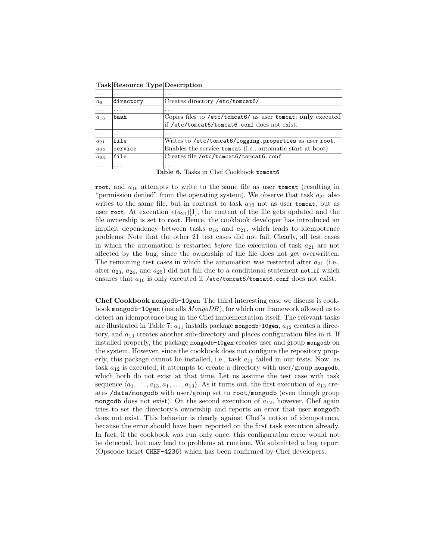| .         | $\cdots$                                                    |
|-----------|-------------------------------------------------------------|
| directory | Creates directory /etc/tomcat6/                             |
| .         | $\cdots$                                                    |
| bash      | Copies files to /etc/tomcat6/ as user tomcat; only executed |
|           | if /etc/tomcat6/tomcat6.conf does not exist.                |
| .         | $\cdots$                                                    |
| file      | Writes to /etc/tomcat6/logging.properties as user root.     |
| service   | Enables the service tomcat (i.e., automatic start at boot)  |
| file      | Creates file /etc/tomcat6/tomcat6.conf                      |
| .         | $\cdots$                                                    |
|           |                                                             |

Task Resource Type Description

Table 6. Tasks in Chef Cookbook tomcat6

root, and  $a_{16}$  attempts to write to the same file as user tomcat (resulting in "permission denied" from the operating system). We observe that task  $a_{21}$  also writes to the same file, but in contrast to task  $a_{16}$  not as user tomcat, but as user root. At execution  $e(a_{21})[1]$ , the content of the file gets updated and the file ownership is set to root. Hence, the cookbook developer has introduced an implicit dependency between tasks  $a_{16}$  and  $a_{21}$ , which leads to idempotence problems. Note that the other 21 test cases did not fail. Clearly, all test cases in which the automation is restarted *before* the execution of task  $a_{21}$  are not affected by the bug, since the ownership of the file does not get overwritten. The remaining test cases in which the automation was restarted after  $a_{21}$  (i.e., after  $a_{23}, a_{24}$ , and  $a_{25}$ ) did not fail due to a conditional statement not if which ensures that  $a_{16}$  is only executed if /etc/tomcat6/tomcat6.conf does not exist.

Chef Cookbook mongodb-10gen The third interesting case we discuss is cookbook mongodb-10gen (installs MongoDB), for which our framework allowed us to detect an idempotence bug in the Chef implementation itself. The relevant tasks are illustrated in Table 7:  $a_{11}$  installs package mongodb-10gen,  $a_{12}$  creates a directory, and  $a_{13}$  creates another sub-directory and places configuration files in it. If installed properly, the package mongodb-10gen creates user and group mongodb on the system. However, since the cookbook does not configure the repository properly, this package cannot be installed, i.e., task  $a_{11}$  failed in our tests. Now, as task  $a_{12}$  is executed, it attempts to create a directory with user/group mongodb, which both do not exist at that time. Let us assume the test case with task sequence  $\langle a_1, \ldots, a_{13}, a_1, \ldots, a_{13} \rangle$ . As it turns out, the first execution of  $a_{13}$  creates /data/mongodb with user/group set to root/mongodb (even though group mongodb does not exist). On the second execution of  $a_{12}$ , however, Chef again tries to set the directory's ownership and reports an error that user mongodb does not exist. This behavior is clearly against Chef's notion of idempotence, because the error should have been reported on the first task execution already. In fact, if the cookbook was run only once, this configuration error would not be detected, but may lead to problems at runtime. We submitted a bug report (Opscode ticket CHEF-4236) which has been confirmed by Chef developers.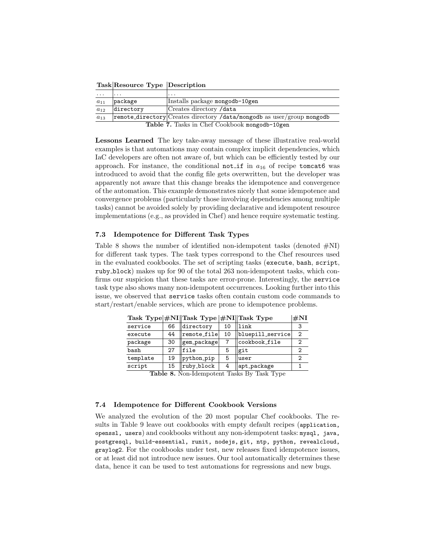| Task Resource Type Description |
|--------------------------------|
|--------------------------------|

| $\cdots$ | $\cdots$  | $\cdots$                                                                   |
|----------|-----------|----------------------------------------------------------------------------|
| $a_{11}$ | package   | Installs package mongodb-10gen                                             |
| $a_{12}$ | directory | Creates directory /data                                                    |
| $a_{13}$ |           | remote_directory $ C$ reates directory /data/mongodb as user/group mongodb |

Table 7. Tasks in Chef Cookbook mongodb-10gen

Lessons Learned The key take-away message of these illustrative real-world examples is that automations may contain complex implicit dependencies, which IaC developers are often not aware of, but which can be efficiently tested by our approach. For instance, the conditional not if in  $a_{16}$  of recipe tomcat6 was introduced to avoid that the config file gets overwritten, but the developer was apparently not aware that this change breaks the idempotence and convergence of the automation. This example demonstrates nicely that some idempotence and convergence problems (particularly those involving dependencies among multiple tasks) cannot be avoided solely by providing declarative and idempotent resource implementations (e.g., as provided in Chef) and hence require systematic testing.

#### 7.3 Idempotence for Different Task Types

Table 8 shows the number of identified non-idempotent tasks (denoted  $\#\text{NI}$ ) for different task types. The task types correspond to the Chef resources used in the evaluated cookbooks. The set of scripting tasks (execute, bash, script, ruby block) makes up for 90 of the total 263 non-idempotent tasks, which confirms our suspicion that these tasks are error-prone. Interestingly, the service task type also shows many non-idempotent occurrences. Looking further into this issue, we observed that service tasks often contain custom code commands to start/restart/enable services, which are prone to idempotence problems.

|                                                                                                                                                                                                                                                                                                                                               |    | Task Type #NI  Task Type  #NI  Task Type |    |                        | #NI |  |  |
|-----------------------------------------------------------------------------------------------------------------------------------------------------------------------------------------------------------------------------------------------------------------------------------------------------------------------------------------------|----|------------------------------------------|----|------------------------|-----|--|--|
| service                                                                                                                                                                                                                                                                                                                                       | 66 | directory                                | 10 | link                   | 3   |  |  |
| execute                                                                                                                                                                                                                                                                                                                                       | 44 | remote_file                              | 10 | bluepill_service       | 2   |  |  |
| package                                                                                                                                                                                                                                                                                                                                       | 30 | gem_package                              |    | cookbook_file          | 2   |  |  |
| bash                                                                                                                                                                                                                                                                                                                                          | 27 | file                                     | 5  | ggit                   | 2   |  |  |
| template                                                                                                                                                                                                                                                                                                                                      | 19 | python_pip                               | 5  | luser                  | っ   |  |  |
| script                                                                                                                                                                                                                                                                                                                                        | 15 | ruby_block                               | 4  | $ {\tt apt\_package} $ |     |  |  |
| $\mathbf{m}_1$ , $\mathbf{1}$ , $\mathbf{o}$ $\mathbf{M}_1$ , $\mathbf{I}$ , $\mathbf{J}_2$ , $\mathbf{I}$ , $\mathbf{I}$ , $\mathbf{I}$ , $\mathbf{I}$ , $\mathbf{I}$ , $\mathbf{I}$ , $\mathbf{I}$ , $\mathbf{I}$ , $\mathbf{I}$ , $\mathbf{I}$ , $\mathbf{I}$ , $\mathbf{I}$ , $\mathbf{I}$ , $\mathbf{I}$ , $\mathbf{I}$ , $\mathbf{I}$ , |    |                                          |    |                        |     |  |  |

Task Type $\left|\#\mathrm{NI}\right|$ Task Type $\left|\#\mathrm{NI}\right|$ Task Type $\qquad\left|\#\mathrm{NI}\right|$ 

Table 8. Non-Idempotent Tasks By Task Type

#### 7.4 Idempotence for Different Cookbook Versions

We analyzed the evolution of the 20 most popular Chef cookbooks. The results in Table 9 leave out cookbooks with empty default recipes (application, openssl, users) and cookbooks without any non-idempotent tasks: mysql, java, postgresql, build-essential, runit, nodejs, git, ntp, python, revealcloud, graylog2. For the cookbooks under test, new releases fixed idempotence issues, or at least did not introduce new issues. Our tool automatically determines these data, hence it can be used to test automations for regressions and new bugs.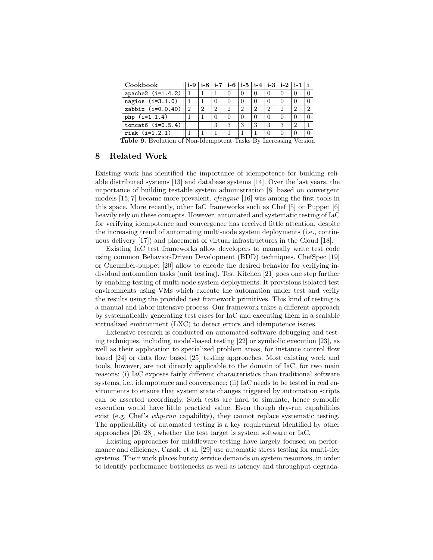| Cookbook              |               |            |   |                      |    | $i-8$   i-7   i-6   i-5   i-4   i-3   i-2   i-1   i |   |               |               |          |
|-----------------------|---------------|------------|---|----------------------|----|-----------------------------------------------------|---|---------------|---------------|----------|
| $apache2 (i=1.4.2)$   |               |            |   |                      |    | $\mathbf{0}$                                        |   |               |               |          |
| nagios $(i=3.1.0)$    |               |            |   |                      |    |                                                     |   |               |               |          |
| $zabbix$ $(i=0.0.40)$ | $\mathcal{D}$ | 2          | 2 | $\mathcal{D}$        |    | 2                                                   |   | $\mathcal{D}$ | $\mathcal{D}$ | $\Omega$ |
| php $(i=1.1.4)$       |               |            |   |                      |    |                                                     |   |               |               |          |
| tomcat6 $(i=0.5.4)$   |               |            | 3 | 3                    | 3  | 3                                                   | З | 3             |               |          |
| $riak (i=1.2.1)$      |               |            |   |                      |    |                                                     |   |               |               |          |
| .                     | 0.77          | <b>T</b> 1 |   | $\sim$ $\sim$ $\sim$ | п. | $\overline{\phantom{a}}$<br>T.                      |   |               | $\mathbf{v}$  |          |

Table 9. Evolution of Non-Idempotent Tasks By Increasing Version

## 8 Related Work

Existing work has identified the importance of idempotence for building reliable distributed systems [13] and database systems [14]. Over the last years, the importance of building testable system administration [8] based on convergent models [15, 7] became more prevalent. cfengine [16] was among the first tools in this space. More recently, other IaC frameworks such as Chef [5] or Puppet [6] heavily rely on these concepts. However, automated and systematic testing of IaC for verifying idempotence and convergence has received little attention, despite the increasing trend of automating multi-node system deployments (i.e., continuous delivery [17]) and placement of virtual infrastructures in the Cloud [18].

Existing IaC test frameworks allow developers to manually write test code using common Behavior-Driven Development (BDD) techniques. ChefSpec [19] or Cucumber-puppet [20] allow to encode the desired behavior for verifying individual automation tasks (unit testing). Test Kitchen [21] goes one step further by enabling testing of multi-node system deployments. It provisions isolated test environments using VMs which execute the automation under test and verify the results using the provided test framework primitives. This kind of testing is a manual and labor intensive process. Our framework takes a different approach by systematically generating test cases for IaC and executing them in a scalable virtualized environment (LXC) to detect errors and idempotence issues.

Extensive research is conducted on automated software debugging and testing techniques, including model-based testing [22] or symbolic execution [23], as well as their application to specialized problem areas, for instance control flow based [24] or data flow based [25] testing approaches. Most existing work and tools, however, are not directly applicable to the domain of IaC, for two main reasons: (i) IaC exposes fairly different characteristics than traditional software systems, i.e., idempotence and convergence; (ii) IaC needs to be tested in real environments to ensure that system state changes triggered by automation scripts can be asserted accordingly. Such tests are hard to simulate, hence symbolic execution would have little practical value. Even though dry-run capabilities exist (e.g, Chef's why-run capability), they cannot replace systematic testing. The applicability of automated testing is a key requirement identified by other approaches [26–28], whether the test target is system software or IaC.

Existing approaches for middleware testing have largely focused on performance and efficiency. Casale et al. [29] use automatic stress testing for multi-tier systems. Their work places bursty service demands on system resources, in order to identify performance bottlenecks as well as latency and throughput degrada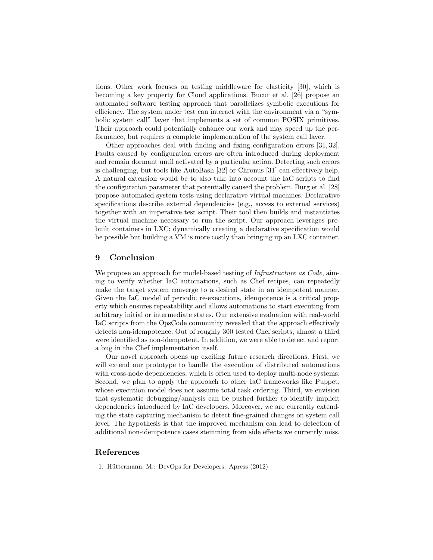tions. Other work focuses on testing middleware for elasticity [30], which is becoming a key property for Cloud applications. Bucur et al. [26] propose an automated software testing approach that parallelizes symbolic executions for efficiency. The system under test can interact with the environment via a "symbolic system call" layer that implements a set of common POSIX primitives. Their approach could potentially enhance our work and may speed up the performance, but requires a complete implementation of the system call layer.

Other approaches deal with finding and fixing configuration errors [31, 32]. Faults caused by configuration errors are often introduced during deployment and remain dormant until activated by a particular action. Detecting such errors is challenging, but tools like AutoBash [32] or Chronus [31] can effectively help. A natural extension would be to also take into account the IaC scripts to find the configuration parameter that potentially caused the problem. Burg et al. [28] propose automated system tests using declarative virtual machines. Declarative specifications describe external dependencies (e.g., access to external services) together with an imperative test script. Their tool then builds and instantiates the virtual machine necessary to run the script. Our approach leverages prebuilt containers in LXC; dynamically creating a declarative specification would be possible but building a VM is more costly than bringing up an LXC container.

### 9 Conclusion

We propose an approach for model-based testing of *Infrastructure as Code*, aiming to verify whether IaC automations, such as Chef recipes, can repeatedly make the target system converge to a desired state in an idempotent manner. Given the IaC model of periodic re-executions, idempotence is a critical property which ensures repeatability and allows automations to start executing from arbitrary initial or intermediate states. Our extensive evaluation with real-world IaC scripts from the OpsCode community revealed that the approach effectively detects non-idempotence. Out of roughly 300 tested Chef scripts, almost a third were identified as non-idempotent. In addition, we were able to detect and report a bug in the Chef implementation itself.

Our novel approach opens up exciting future research directions. First, we will extend our prototype to handle the execution of distributed automations with cross-node dependencies, which is often used to deploy multi-node systems. Second, we plan to apply the approach to other IaC frameworks like Puppet, whose execution model does not assume total task ordering. Third, we envision that systematic debugging/analysis can be pushed further to identify implicit dependencies introduced by IaC developers. Moreover, we are currently extending the state capturing mechanism to detect fine-grained changes on system call level. The hypothesis is that the improved mechanism can lead to detection of additional non-idempotence cases stemming from side effects we currently miss.

### References

1. Hüttermann, M.: DevOps for Developers. Apress (2012)